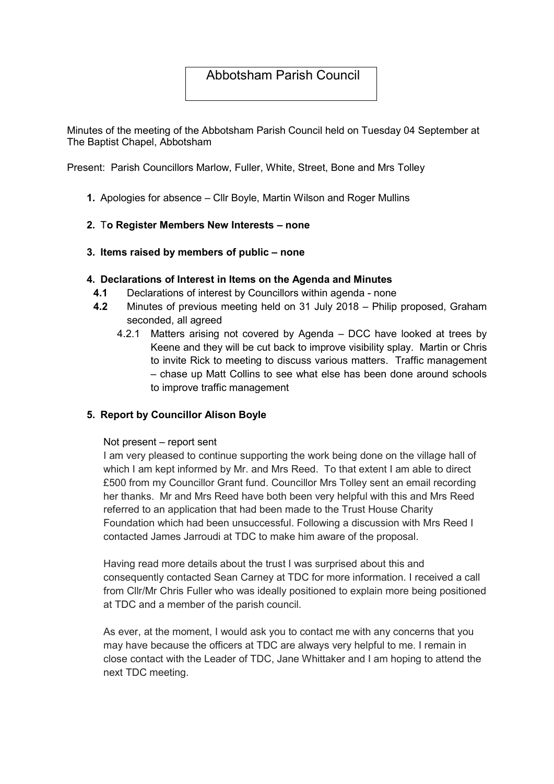# Abbotsham Parish Council

Minutes of the meeting of the Abbotsham Parish Council held on Tuesday 04 September at The Baptist Chapel, Abbotsham

Present: Parish Councillors Marlow, Fuller, White, Street, Bone and Mrs Tolley

- 1. Apologies for absence Cllr Boyle, Martin Wilson and Roger Mullins
- 2. To Register Members New Interests none
- 3. Items raised by members of public none

#### 4. Declarations of Interest in Items on the Agenda and Minutes

- 4.1 Declarations of interest by Councillors within agenda none
- 4.2 Minutes of previous meeting held on 31 July 2018 Philip proposed, Graham seconded, all agreed
	- 4.2.1 Matters arising not covered by Agenda DCC have looked at trees by Keene and they will be cut back to improve visibility splay. Martin or Chris to invite Rick to meeting to discuss various matters. Traffic management – chase up Matt Collins to see what else has been done around schools to improve traffic management

#### 5. Report by Councillor Alison Boyle

#### Not present – report sent

I am very pleased to continue supporting the work being done on the village hall of which I am kept informed by Mr. and Mrs Reed. To that extent I am able to direct £500 from my Councillor Grant fund. Councillor Mrs Tolley sent an email recording her thanks. Mr and Mrs Reed have both been very helpful with this and Mrs Reed referred to an application that had been made to the Trust House Charity Foundation which had been unsuccessful. Following a discussion with Mrs Reed I contacted James Jarroudi at TDC to make him aware of the proposal.

Having read more details about the trust I was surprised about this and consequently contacted Sean Carney at TDC for more information. I received a call from Cllr/Mr Chris Fuller who was ideally positioned to explain more being positioned at TDC and a member of the parish council.

As ever, at the moment, I would ask you to contact me with any concerns that you may have because the officers at TDC are always very helpful to me. I remain in close contact with the Leader of TDC, Jane Whittaker and I am hoping to attend the next TDC meeting.